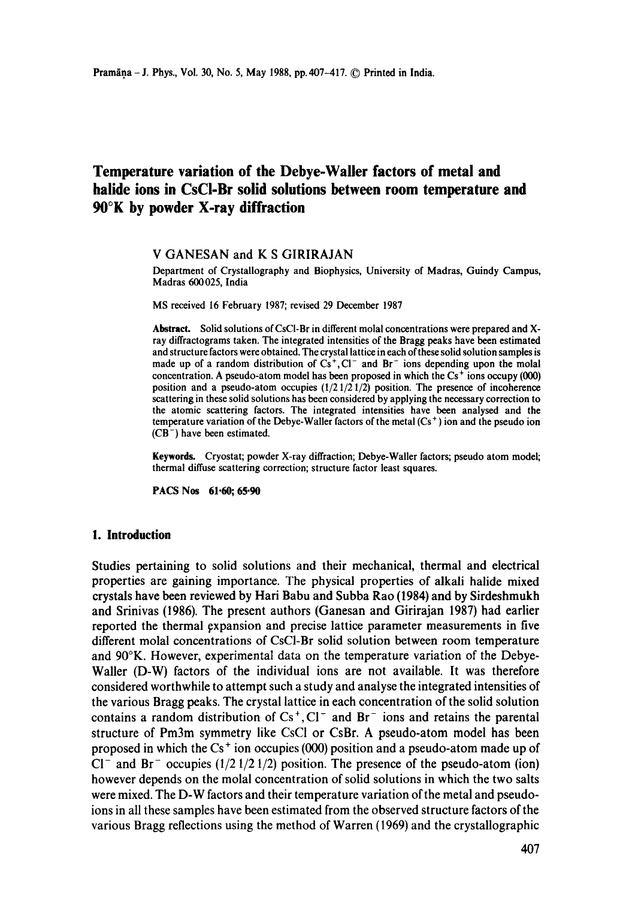# **Temperature variation of the Debye-Waller factors of metal and halide ions in CsCI-Br solid solutions between room temperature and 90°K by powder X-ray diffraction**

#### V GANESAN and K S GIRIRAJAN

Department of Crystallography and Biophysics, University of Madras, Guindy Campus, Madras 600025, India

MS received 16 February 1987; revised 29 December 1987

Abstract. Solid solutions of CsCI-Br in different molal concentrations were prepared and Xray diffractograms taken. The integrated intensities of the Bragg peaks have been estimated and structure factors were obtained. The crystal lattice in each of these solid solution samples is made up of a random distribution of  $Cs^+$ ,  $Cl^-$  and  $Br^-$  ions depending upon the molal concentration. A pseudo-atom model has been proposed in which the  $Cs<sup>+</sup>$  ions occupy (000) position and a pseudo-atom occupies  $(1/21/21/2)$  position. The presence of incoherence scattering in these solid solutions has been considered by applying the necessary correction **to**  the atomic scattering factors. The integrated intensities have been analysed and **the**  temperature variation of the Debye-Waller factors of the metal  $(Cs<sup>+</sup>)$  ion and the pseudo ion  $(CB^{-})$  have been estimated.

**Keywords.** Cryostat; powder X-ray diffraction; Debye-Waller factors; pseudo atom model; thermal diffuse scattering correction; structure factor least squares.

**PACS Nos 61.60; 65.90** 

#### **1. Introduction**

Studies pertaining to solid solutions and their mechanical, thermal and electrical properties are gaining importance. The physical properties of alkali halide mixed crystals have been reviewed by Hari Babu and Subba Rao (1984) and by Sirdeshmukh and Srinivas (1986). The present authors (Ganesan and Girirajan 1987) had earlier reported the thermal expansion and precise lattice parameter measurements in five different molal concentrations of CsCI-Br solid solution between room temperature and 90°K. However, experimental data on the temperature variation of the Debye-Waller (D-W) factors of the individual ions are not available. It was therefore considered worthwhile to attempt such a study and analyse the integrated intensities of the various Bragg peaks. The crystal lattice in each concentration of the solid solution contains a random distribution of  $Cs^+$ , Cl<sup>-</sup> and Br<sup>-</sup> ions and retains the parental structure of Pm3m symmetry like CsCI or CsBr. A pseudo-atom model has been proposed in which the  $Cs<sup>+</sup>$  ion occupies (000) position and a pseudo-atom made up of CI<sup>-</sup> and Br<sup>-</sup> occupies (1/2 1/2 1/2) position. The presence of the pseudo-atom (ion) however depends on the molal concentration of solid solutions in which the two salts were mixed. The D-W factors and their temperature variation of the metal and pseudoions in all these samples have been estimated from the observed structure factors of the various Bragg reflections using the method of Warren (1969) and the crystallographic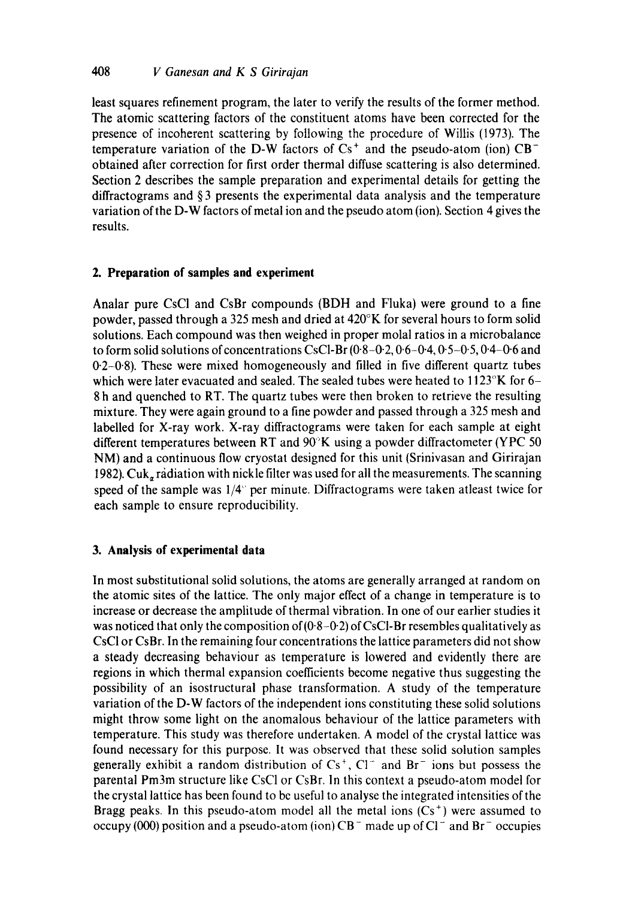least squares refinement program, the later to verify the results of the former method. The atomic scattering factors of the constituent atoms have been corrected for the presence of incoherent scattering by following the procedure of Willis (1973). The temperature variation of the D-W factors of  $Cs^+$  and the pseudo-atom (ion)  $CB^$ obtained after correction for first order thermal diffuse scattering is also determined. Section 2 describes the sample preparation and experimental details for getting the diffractograms and § 3 presents the experimental data analysis and the temperature variation of the D-W factors of metal ion and the pseudo atom (ion). Section 4 gives the results.

# **2. Preparation of samples and experiment**

Analar pure CsCI and CsBr compounds (BDH and Fluka) were ground to a fine powder, passed through a 325 mesh and dried at  $420^{\circ}$ K for several hours to form solid solutions. Each compound was then weighed in proper molal ratios in a microbalance to form solid solutions of concentrations CsCl-Br  $(0.8-0.2, 0.6-0.4, 0.5-0.5, 0.4-0.6$  and  $0.2-0.8$ ). These were mixed homogeneously and filled in five different quartz tubes which were later evacuated and sealed. The sealed tubes were heated to  $1123^{\circ}$ K for 6-8 h and quenched to RT. The quartz tubes were then broken to retrieve the resulting mixture. They were again ground to a fine powder and passed through a 325 mesh and labelled for X-ray work. X-ray diffractograms were taken for each sample at eight different temperatures between RT and 90°K using a powder diffractometer (YPC 50 NM) and a continuous flow cryostat designed for this unit (Srinivasan and Girirajan 1982).  $Cuk_{\alpha}$  radiation with nickle filter was used for all the measurements. The scanning speed of the sample was  $1/4^{\circ}$  per minute. Diffractograms were taken atleast twice for each sample to ensure reproducibility.

# **3. Analysis of experimental data**

In most substitutional solid solutions, the atoms are generally arranged at random on the atomic sites of the lattice. The only major effect of a change in temperature is to increase or decrease the amplitude of thermal vibration. In one of our earlier studies it was noticed that only the composition of  $(0.8-0.2)$  of CsCl-Br resembles qualitatively as CsCI or CsBr. In the remaining four concentrations the lattice parameters did not show a steady decreasing behaviour as temperature is lowered and evidently there are regions in which thermal expansion coefficients become negative thus suggesting the possibility of an isostructurai phase transformation. A study of the temperature variation of the D-W factors of the independent ions constituting these solid solutions might throw some light on the anomalous behaviour of the lattice parameters with temperature. This study was therefore undertaken. A model of the crystal lattice was found necessary for this purpose. It was observed that these solid solution samples generally exhibit a random distribution of  $Cs^+$ ,  $Cl^-$  and  $Br^-$  ions but possess the parental Pm3m structure like CsC1 or CsBr. In this context a pseudo-atom model for the crystal lattice has been found to bc useful to analyse the integrated intensities of the Bragg peaks. In this pseudo-atom model all the metal ions  $(Cs<sup>+</sup>)$  were assumed to occupy (000) position and a pseudo-atom (ion)  $CB^-$  made up of  $CI^-$  and  $Br^-$  occupies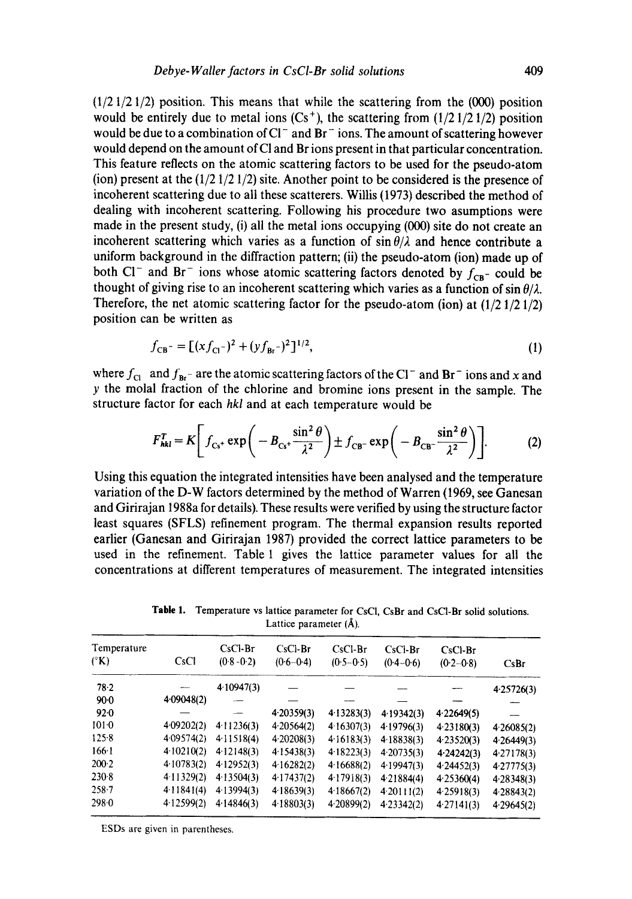$(1/2 \frac{1}{2} \frac{1}{2})$  position. This means that while the scattering from the  $(000)$  position would be entirely due to metal ions  $(Cs<sup>+</sup>)$ , the scattering from  $(1/2 1/2 1/2)$  position would be due to a combination of  $Cl^-$  and Br<sup>-</sup> ions. The amount of scattering however would depend on the amount of Cl and Br ions present in that particular concentration. This feature reflects on the atomic scattering factors to be used for the pseudo-atom (ion) present at the  $(1/2 \frac{1}{2} \frac{1}{2})$  site. Another point to be considered is the presence of incoherent scattering due to all these scatterers. Willis (1973) described the method of dealing with incoherent scattering. Following his procedure two asumptions were made in the present study, (i) all the metal ions occupying (000) site do not create an incoherent scattering which varies as a function of  $\sin \theta/\lambda$  and hence contribute a uniform background in the diffraction pattern; (ii) the pseudo-atom (ion) made up of both Cl<sup>-</sup> and Br<sup>-</sup> ions whose atomic scattering factors denoted by  $f_{CB}$ - could be thought of giving rise to an incoherent scattering which varies as a function of  $\sin \theta / \lambda$ . Therefore, the net atomic scattering factor for the pseudo-atom (ion) at (1/2 1/2 1/2) position can be written as

$$
f_{\text{CB}} = \left[ (xf_{\text{Cl}})^2 + (yf_{\text{Br}})^2 \right]^{1/2},\tag{1}
$$

where  $f_{\text{Cl}}$  and  $f_{\text{Br}}$ - are the atomic scattering factors of the CI<sup>-</sup> and Br<sup>-</sup> ions and x and y the molal fraction of the chlorine and bromine ions present in the sample. The structure factor for each *hkl* and at each temperature would be

$$
F_{\mathit{hkl}}^T = K \left[ f_{\mathit{Cs}} + \exp \left( -B_{\mathit{Cs}} + \frac{\sin^2 \theta}{\lambda^2} \right) \pm f_{\mathit{CB}} - \exp \left( -B_{\mathit{CB}} - \frac{\sin^2 \theta}{\lambda^2} \right) \right].
$$
 (2)

Using this equation the integrated intensities have been analysed and the temperature variation of the D-W factors determined by the method of Warren (1969, see Ganesan and Girirajan 1988a for details). These results were verified by using the structure factor least squares (SFLS) refinement program. The thermal expansion results reported earlier (Ganesan and Girirajan 1987) provided the correct lattice parameters to be used in the refinement. Table 1 gives the lattice parameter values for all the concentrations at different temperatures of measurement. The integrated intensities

**Table** 1. Temperature vs lattice parameter for CsCI, CsBr and CsC1-Br solid solutions. Lattice parameter (Å).

| Temperature<br>$({}^{\circ}{\rm K})$ | CsCl       | $CsC1-Br$<br>$(0.8 - 0.2)$ | $CsCI-Br$<br>$(0.6 - 0.4)$ | $CsCl-Br$<br>$(0.5 - 0.5)$ | $CsCI-Br$<br>$(0.4 - 0.6)$ | $CsCl-Br$<br>$(0.2 - 0.8)$ | CsBr           |
|--------------------------------------|------------|----------------------------|----------------------------|----------------------------|----------------------------|----------------------------|----------------|
| 78.2                                 |            | 4.10947(3)                 |                            |                            |                            |                            | 4.25726(3)     |
| $90-0$                               | 4.09048(2) |                            |                            |                            |                            |                            |                |
| 92.0                                 |            |                            | 4.20359(3)                 | 4.13283(3)                 | 4.19342(3)                 | 4.22649(5)                 |                |
| $101 - 0$                            | 4.09202(2) | 4.11236(3)                 | 4.20564(2)                 | 4.16307(3)                 | 4.19796(3)                 | 4.23180(3)                 | 4.26085(2)     |
| $125-8$                              | 4.09574(2) | 4.11518(4)                 | 4.20208(3)                 | 4.16183(3)                 | 4.18838(3)                 | 4.23520(3)                 | 4.26449(3)     |
| $166 - 1$                            | 4.10210(2) | 4.12148(3)                 | 4.15438(3)                 | 4.18223(3)                 | 4.20735(3)                 | 4.24242(3)                 | 4.27178(3)     |
| $200-2$                              | 4.10783(2) | 4.12952(3)                 | 4 16282(2)                 | 4 16688(2)                 | 4.19947(3)                 | 4.24452(3)                 | 427775(3)      |
| 230.8                                | 4.11329(2) | 4.13504(3)                 | 4.17437(2)                 | 4.17918(3)                 | 4.21884(4)                 | 4.25360(4)                 | 4 28 3 4 8 (3) |
| $258 - 7$                            | 4.11841(4) | 4 13994(3)                 | 4.18639(3)                 | 418667(2)                  | 4.20111(2)                 | 4.25918(3)                 | 4.28843(2)     |
| 2980                                 | 4.12599(2) | 4.14846(3)                 | 4.18803(3)                 | 4.20899(2)                 | 4.23342(2)                 | 4.27141(3)                 | 4.29645(2)     |
|                                      |            |                            |                            |                            |                            |                            |                |

ESDs are given in parentheses.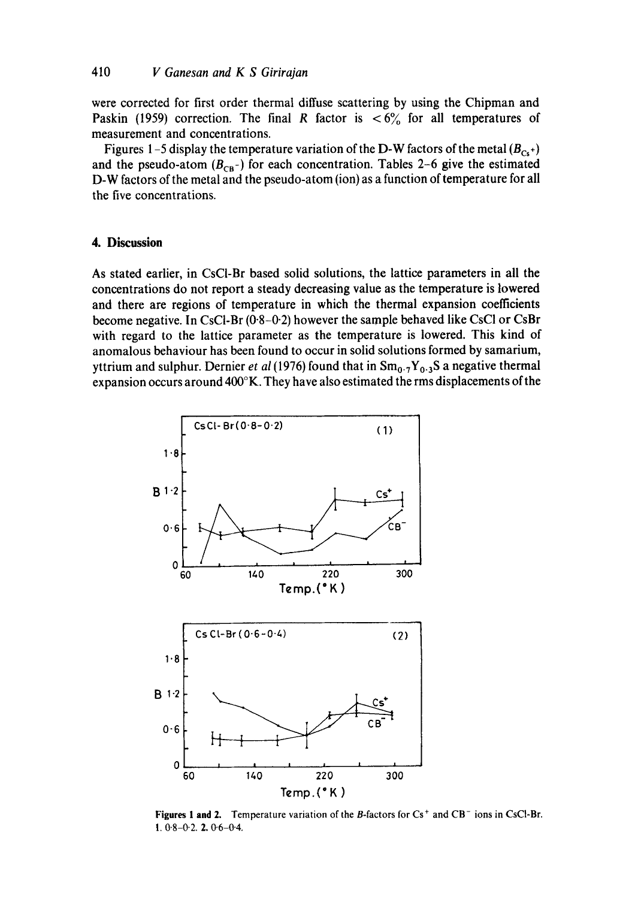were corrected for first order thermal diffuse scattering by using the Chipman and Paskin (1959) correction. The final R factor is  $\langle 6 \rangle$  for all temperatures of measurement and concentrations.

Figures 1-5 display the temperature variation of the D-W factors of the metal  $(B_{Cs^+})$ and the pseudo-atom  $(B_{CB^-})$  for each concentration. Tables 2-6 give the estimated D-W factors of the metal and the pseudo-atom (ion) as a function of temperature for all the five concentrations.

### **4. Discussion**

As stated earlier, in CsCI-Br based solid solutions, the lattice parameters in all the concentrations do not report a steady decreasing value as the temperature is lowered and there are regions of temperature in which the thermal expansion coefficients become negative. In CsCl-Br (0.8-0.2) however the sample behaved like CsCl or CsBr with regard to the lattice parameter as the temperature is lowered. This kind of anomalous behaviour has been found to occur in solid solutions formed by samarium, yttrium and sulphur. Dernier *et al* (1976) found that in  $Sm_{0.7}Y_{0.3}S$  a negative thermal expansion occurs around 400°K. They have also estimated the rms displacements of the



Figures 1 and 2. Temperature variation of the B-factors for  $Cs^+$  and  $CB^-$  ions in CsCl-Br. 1.  $0.8 - 0.2$ . 2.  $0.6 - 0.4$ .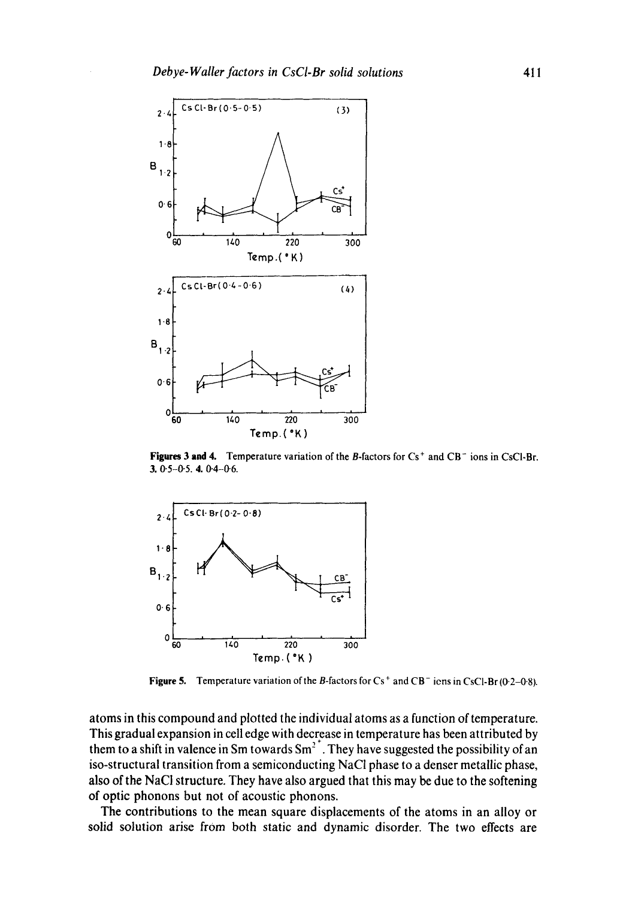

Figures 3 and 4. Temperature variation of the B-factors for  $Cs^+$  and  $CB^-$  ions in CsCl-Br.  $3.05 - 0.5.404 - 0.6.$ 



**Figure 5.** Temperature variation of the B-factors for Cs<sup>+</sup> and CB<sup>-</sup> iens in CsCl-Br (0-2-0-8).

atoms in this compound and plotted the individual atoms as a function of temperature. This gradual expansion in cell edge with decrease in temperature has been attributed by them to a shift in valence in Sm towards  $Sm^2$ <sup>+</sup>. They have suggested the possibility of an iso-structural transition from a semiconducting NaC1 phase to a denser metallic phase, also of the NaCI structure. They have also argued that this may be due to the softening of optic phonons but not of acoustic phonons.

The contributions to the mean square displacements of the atoms in an alloy or solid solution arise from both static and dynamic disorder. The two effects are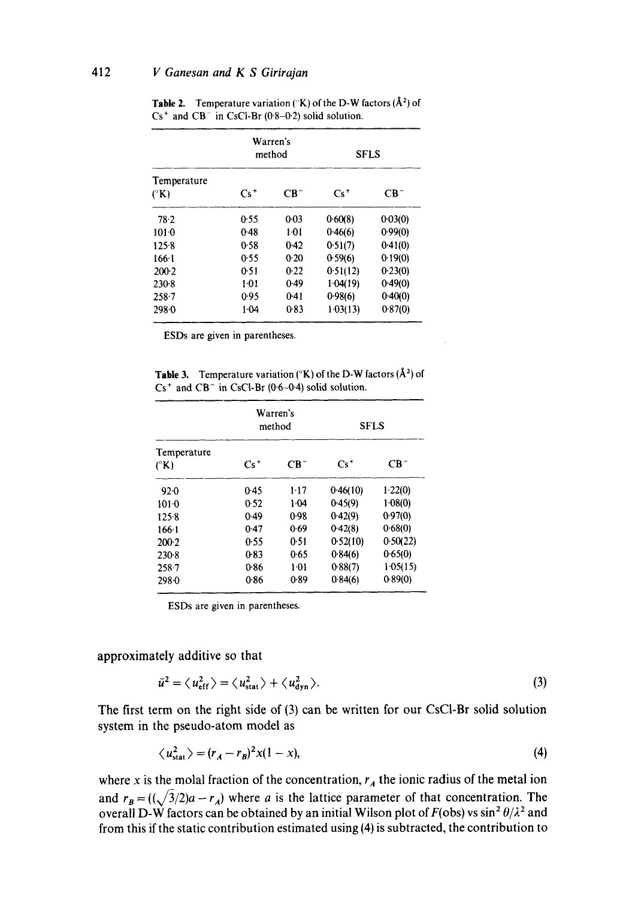|                              |        | Warren's<br>method | <b>SFLS</b> |         |  |
|------------------------------|--------|--------------------|-------------|---------|--|
| Temperature<br>$(^{\circ}K)$ | $Cs^+$ | $CB^-$             | $Cs^+$      | $CB^-$  |  |
| 78.2                         | 0.55   | 0.03               | 0.60(8)     | 0.03(0) |  |
| $101 - 0$                    | 0.48   | 101                | 0.46(6)     | 0.99(0) |  |
| 125.8                        | 0.58   | 0.42               | 0.51(7)     | 0.41(0) |  |
| $166 - 1$                    | 0.55   | 0.20               | 0.59(6)     | 0.19(0) |  |
| $200-2$                      | 0.51   | 0.22               | 0.51(12)    | 0.23(0) |  |
| 230.8                        | $1-01$ | 0.49               | 1.04(19)    | 0.49(0) |  |
| $258 - 7$                    | 0.95   | 0.41               | 0.98(6)     | 0.40(0) |  |
| 298.0                        | 1.04   | 0.83               | 1.03(13)    | 0.87(0) |  |

**Table 2.** Temperature variation ( $(K)$ ) of the D-W factors  $(A^2)$  of  $Cs<sup>+</sup>$  and  $CB<sup>-</sup>$  in CsCl-Br (0.8-0.2) solid solution.

ESDs are given in parentheses.

**Table 3.** Temperature variation ( $(K)$ ) of the D-W factors ( $\AA^2$ ) of  $Cs<sup>+</sup>$  and  $CB<sup>-</sup>$  in CsCl-Br (0.6-0.4) solid solution.

|                              |        | Warren's<br>method | <b>SFLS</b> |          |  |
|------------------------------|--------|--------------------|-------------|----------|--|
| Temperature<br>$(^{\circ}K)$ | $Cs^+$ | $CB^-$             | $Cs^+$      | $CB^-$   |  |
| 92.0                         | 0.45   | $1 - 17$           | 0.46(10)    | 1.22(0)  |  |
| $101-0$                      | 0.52   | $1-04$             | 0.45(9)     | 1.08(0)  |  |
| 125.8                        | 0.49   | 0.98               | 0.42(9)     | 0.97(0)  |  |
| $166-1$                      | 0.47   | 0.69               | 0.42(8)     | 0.68(0)  |  |
| $200-2$                      | 0.55   | 0.51               | 0.52(10)    | 0.50(22) |  |
| 230.8                        | 0.83   | 0.65               | 0.84(6)     | 0.65(0)  |  |
| 258.7                        | 0.86   | $1-01$             | 0.88(7)     | 1.05(15) |  |
| 298.0                        | 0.86   | 0.89               | 0.84(6)     | 0.89(0)  |  |

ESDs are given in parentheses.

**approximately additive so that** 

$$
\bar{u}^2 = \langle u_{\text{eff}}^2 \rangle = \langle u_{\text{stat}}^2 \rangle + \langle u_{\text{dyn}}^2 \rangle. \tag{3}
$$

The first term on the right side of (3) can be written for our CsC1-Br solid solution system in the pseudo-atom model as

$$
\langle u_{\text{stat}}^2 \rangle = (r_A - r_B)^2 x (1 - x), \tag{4}
$$

where x is the molal fraction of the concentration,  $r_A$  the ionic radius of the metal ion and  $r_B = ((\sqrt{3}/2)a - r_A)$  where a is the lattice parameter of that concentration. The overall D-W factors can be obtained by an initial Wilson plot of  $F(\text{obs})$  vs sin<sup>2</sup>  $\theta/\lambda^2$  and from this if the static contribution estimated using (4) is subtracted, the contribution to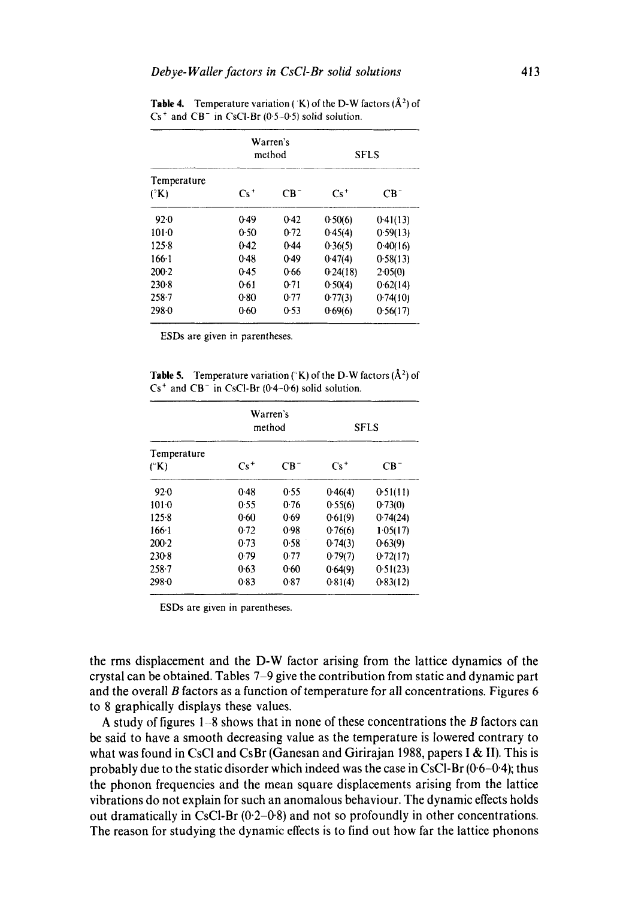|                          |        | Warren's<br>method | <b>SFLS</b> |          |  |
|--------------------------|--------|--------------------|-------------|----------|--|
| Temperature<br>$(^{2}K)$ | $Cs^+$ | $CR^-$             | $Cs^+$      | $CR^-$   |  |
| 92.0                     | 0.49   | 0.42               | 0.50(6)     | 0.41(13) |  |
| $101-0$                  | 0.50   | 0.72               | 0.45(4)     | 0.59(13) |  |
| 125.8                    | $0-42$ | 0.44               | 0.36(5)     | 0.40(16) |  |
| $166 - 1$                | 0.48   | 0.49               | 0.47(4)     | 0.58(13) |  |
| $200-2$                  | 0.45   | 0.66               | 0.24(18)    | 2.05(0)  |  |
| $230-8$                  | 0.61   | 0.71               | 0.50(4)     | 0.62(14) |  |
| $258 - 7$                | 0.80   | 0.77               | 0.77(3)     | 0.74(10) |  |
| 298.0                    | 0.60   | 0.53               | 0.69(6)     | 0.56(17) |  |

**Table 4.** Temperature variation (K) of the D-W factors  $(\hat{A}^2)$  of  $Cs<sup>+</sup>$  and  $CB<sup>-</sup>$  in CsCl-Br (0.5-0.5) solid solution.

ESDs are given in parentheses,

**Table 5.** Temperature variation ( $(K)$ ) of the D-W factors  $(\hat{A}^2)$  of  $Cs<sup>+</sup>$  and  $CB<sup>-</sup>$  in CsCl-Br (0.4-0.6) solid solution.

| Temperature<br>$(^{\circ}K)$ |        | Warren's<br>method | <b>SFLS</b> |          |  |
|------------------------------|--------|--------------------|-------------|----------|--|
|                              | $Cs^+$ | $CB^-$             | $Cs^+$      | $CB^-$   |  |
| 92.0                         | 0.48   | 0.55               | 0.46(4)     | 0.51(11) |  |
| $101-0$                      | 0.55   | 0.76               | 0.55(6)     | 0.73(0)  |  |
| 125.8                        | 0.60   | 0.69               | 0.61(9)     | 0.74(24) |  |
| 166.1                        | 0.72   | 0.98               | 0.76(6)     | 1.05(17) |  |
| $200-2$                      | 0.73   | 0.58               | 0.74(3)     | 0.63(9)  |  |
| 230.8                        | 0.79   | 0.77               | 0.79(7)     | 0.72(17) |  |
| $258 - 7$                    | 0.63   | 0.60               | 0.64(9)     | 0.51(23) |  |
| $298 - 0$                    | 0.83   | 0.87               | 0.81(4)     | 0.83(12) |  |

ESDs are given in parentheses.

the rms displacement and the D-W factor arising from the lattice dynamics of the crystal can be obtained. Tables 7-9 give the contribution from static and dynamic part and the overall B factors as a function of temperature for all concentrations. Figures 6 to 8 graphically displays these values.

A study of figures  $1-8$  shows that in none of these concentrations the B factors can be said to have a smooth decreasing value as the temperature is lowered contrary to what was found in CsCl and CsBr (Ganesan and Girirajan 1988, papers I & II). This is probably due to the static disorder which indeed was the case in CsCl-Br  $(0.6-0.4)$ ; thus the phonon frequencies and the mean square displacements arising from the lattice vibrations do not explain for such an anomalous behaviour. The dynamic effects holds out dramatically in CsCl-Br  $(0.2-0.8)$  and not so profoundly in other concentrations. The reason for studying the dynamic effects is to find out how far the lattice phonons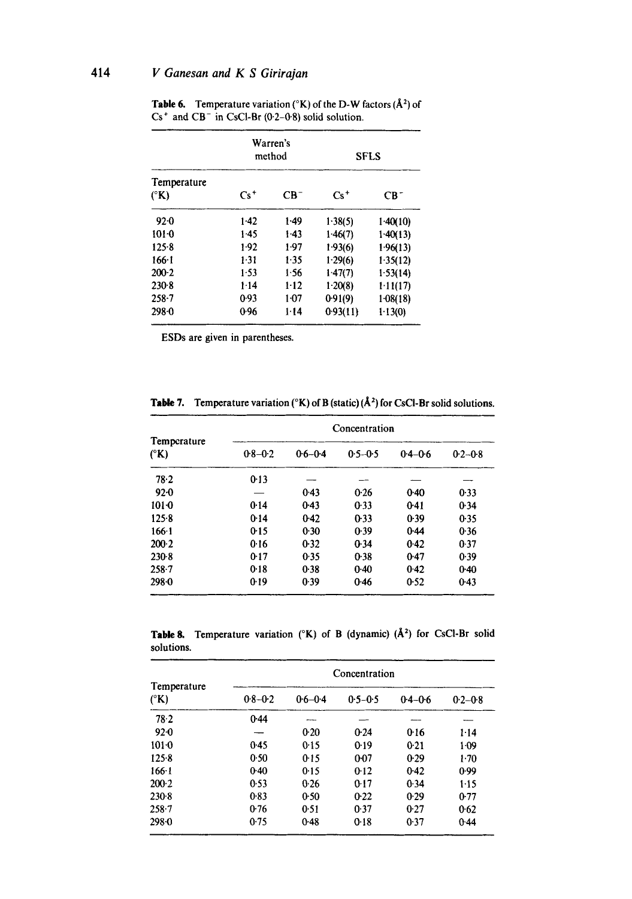# 414 *V Ganesan and K S Girirajan*

|                                      |        | Warren's<br>method |           | <b>SFLS</b> |
|--------------------------------------|--------|--------------------|-----------|-------------|
| Temperature<br>$({}^{\circ}{\bf K})$ | $Cs^+$ | $CR^-$             | $Cs^+$    | $CB^-$      |
| $92-0$                               | $1-42$ | $1-49$             | 1.38(5)   | 1.40(10)    |
| 1010                                 | 1.45   | 1.43               | 1.46(7)   | 1.40(13)    |
| 125.8                                | 1.92   | 1.97               | 1.93(6)   | 1.96(13)    |
| $166 - 1$                            | 1.31   | 1.35               | 1.29(6)   | 1.35(12)    |
| $200-2$                              | 1.53   | 1.56               | 1.47(7)   | 1.53(14)    |
| 230.8                                | 1.14   | $1 - 12$           | $1-20(8)$ | 1.11(17)    |
| $258 - 7$                            | 0.93   | $1-07$             | 0.91(9)   | 1.08(18)    |
| $298 - 0$                            | 0.96   | $1 - 14$           | 0.93(11)  | 1.13(0)     |

**Table 6.** Temperature variation ( ${}^{\circ}$ K) of the D-W factors ( $\AA$ <sup>2</sup>) of  $Cs<sup>+</sup>$  and  $CB<sup>-</sup>$  in CsCl-Br (0.2-0.8) solid solution.

ESDs are given in parentheses.

|                                      | Concentration |             |             |             |             |  |  |  |
|--------------------------------------|---------------|-------------|-------------|-------------|-------------|--|--|--|
| Temperature<br>$({}^{\circ}{\rm K})$ | $0.8 - 0.2$   | $0.6 - 0.4$ | $0.5 - 0.5$ | $0.4 - 0.6$ | $0.2 - 0.8$ |  |  |  |
| 78.2                                 | 0.13          |             |             |             |             |  |  |  |
| $92-0$                               |               | 0.43        | 0.26        | 0.40        | 0.33        |  |  |  |
| $101-0$                              | 0.14          | 0.43        | 0.33        | $0-41$      | 0.34        |  |  |  |
| $125 - 8$                            | 0.14          | 0.42        | $0-33$      | 0.39        | 0.35        |  |  |  |
| $166 - 1$                            | 0.15          | 0.30        | 0.39        | 0.44        | 0.36        |  |  |  |
| $200-2$                              | 0.16          | 0.32        | 0.34        | 0.42        | 0.37        |  |  |  |
| $230-8$                              | 0.17          | 0.35        | 0.38        | 0.47        | 0.39        |  |  |  |
| $258 - 7$                            | 0.18          | 0.38        | 0.40        | 0.42        | $0-40$      |  |  |  |
| 298.0                                | 0.19          | 0.39        | 0.46        | 0.52        | $0-43$      |  |  |  |

**Table 7.** Temperature variation ( ${}^{\circ}$ K) of B (static) ( $A$ <sup>2</sup>) for CsCl-Br solid solutions.

Table 8. Temperature variation  $(^{\circ}K)$  of B (dynamic) ( $\AA$ <sup>2</sup>) for CsCl-Br solid solutions.

|                                      | Concentration |             |             |             |             |  |  |
|--------------------------------------|---------------|-------------|-------------|-------------|-------------|--|--|
| Temperature<br>$({}^{\circ}{\rm K})$ | $0.8 - 0.2$   | $0.6 - 0.4$ | $0.5 - 0.5$ | $0.4 - 0.6$ | $0.2 - 0.8$ |  |  |
| 78.2                                 | 0.44          |             |             |             |             |  |  |
| $92 - 0$                             |               | 0.20        | 0.24        | 0.16        | $1 - 14$    |  |  |
| $101 - 0$                            | 0.45          | 0.15        | 0.19        | 0.21        | $1-09$      |  |  |
| 125.8                                | 0.50          | 0.15        | 0.07        | 0.29        | $1-70$      |  |  |
| $166 - 1$                            | 0.40          | 0.15        | 0.12        | 0.42        | 0.99        |  |  |
| $200-2$                              | 0.53          | 0.26        | 0.17        | 0.34        | 115         |  |  |
| $230-8$                              | 0.83          | 0.50        | 0.22        | 0.29        | 0.77        |  |  |
| $258 - 7$                            | 0.76          | 0.51        | 0.37        | 0.27        | 0.62        |  |  |
| 298.0                                | 0.75          | 0.48        | $0-18$      | 0.37        | 0.44        |  |  |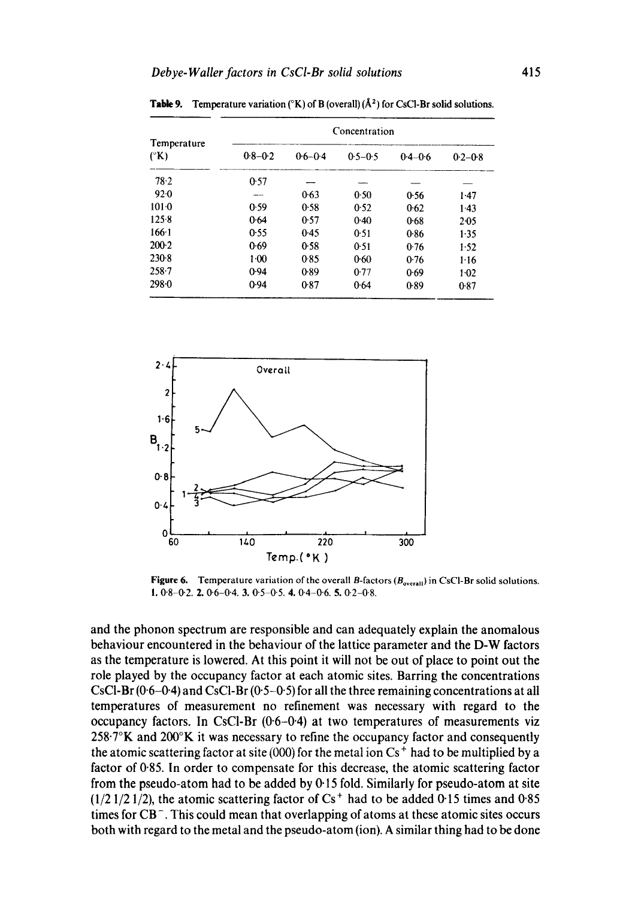|                              | Concentration |             |             |             |             |  |  |
|------------------------------|---------------|-------------|-------------|-------------|-------------|--|--|
| Temperature<br>$(^{\circ}K)$ | $0.8 - 0.2$   | $0.6 - 0.4$ | $0.5 - 0.5$ | $0.4 - 0.6$ | $0.2 - 0.8$ |  |  |
| $78 - 2$                     | 0.57          |             |             |             |             |  |  |
| 92.0                         |               | 0.63        | 0.50        | 0.56        | 1.47        |  |  |
| $101-0$                      | 0.59          | 0.58        | 0.52        | 0.62        | $1-43$      |  |  |
| 125.8                        | 0.64          | 0.57        | 0.40        | 0.68        | 2-05        |  |  |
| 166.1                        | 0.55          | 0.45        | 0.51        | 0.86        | 1.35        |  |  |
| $200-2$                      | 0.69          | 0.58        | 0.51        | 0.76        | 1.52        |  |  |
| $230-8$                      | $1-00$        | 0.85        | $0 - 60$    | 0.76        | 1.16        |  |  |
| $258 - 7$                    | 0.94          | 0.89        | 0.77        | 0.69        | $1-02$      |  |  |
| 298.0                        | 0.94          | 0.87        | 0.64        | 0.89        | 0.87        |  |  |

**Table 9.** Temperature variation ( ${}^{\circ}K$ ) of B (overall) ( $A^2$ ) for CsCl-Br solid solutions.



**Figure 6.** Temperature variation of the overall B-factors (B<sub>overall</sub>) in CsCl-Br solid solutions. 1. 0.8-0.2. 2. 0.6-0.4. 3. 0.5-0.5. 4. 0.4-0.6. 5. 0.2-0.8.

**and the phonon spectrum are responsible and can adequately explain the anomalous behaviour encountered in the behaviour of the lattice parameter and the D-W factors as the temperature is lowered. At this point it will not be out of place to point out the role played by the occupancy factor at each atomic sites. Barring the concentrations CsCI-Br (0"6-0"4) and CsC1-Br** *(0"5-0"5)* **for all the three remaining concentrations at all temperatures of measurement no refinement was necessary with regard to the occupancy factors. In CsCI-Br (0-6-0"4) at two temperatures of measurements viz 258"7°K and 200°K it was necessary to refine the occupancy factor and consequently the atomic scattering factor at site (000) for the metal ion Cs ÷ had to be multiplied by a factor of 0"85. In order to compensate for this decrease, the atomic scattering factor from the pseudo-atom had to be added by 0" 15 fold. Similarly for pseudo-atom at site**   $(1/2 1/2 1/2)$ , the atomic scattering factor of  $Cs<sup>+</sup>$  had to be added 0.15 times and 0.85 **times for CB-. This could mean that overlapping of atoms at these atomic sites occurs both with regard to the metal and the pseudo-atom (ion). A similar thing had to be done**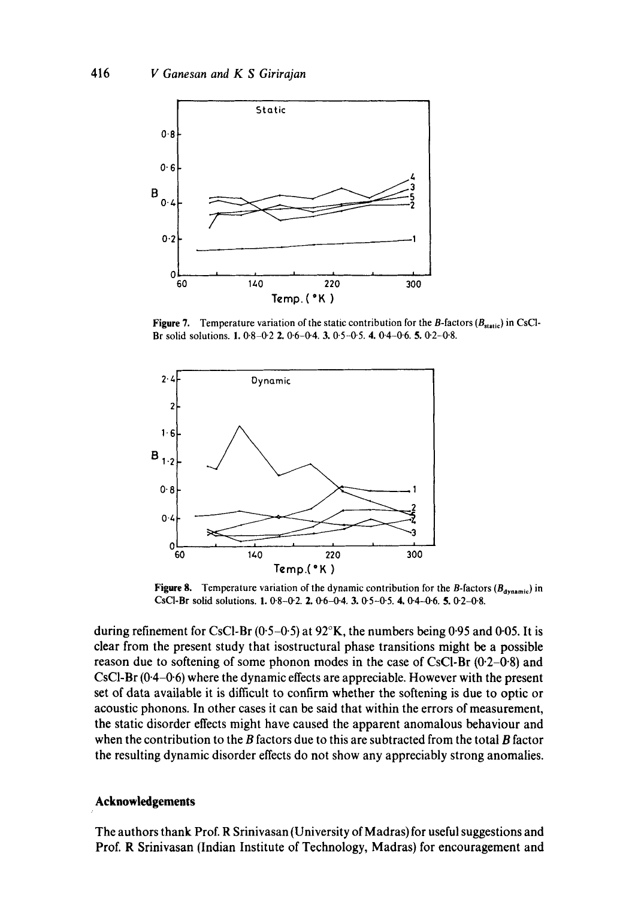

**Figure 7.** Temperature variation of the static contribution for the B-factors  $(B_{\text{static}})$  in CsCl-**Br solid solutions.** 1.0.8-0.2 2. 0.6-0.4. 3. 0.5-0-5. 4. 0.4-0'6. 5. 0.2-0.8.



**Figure 8.** Temperature variation of the dynamic contribution for the B-factors  $(B_{\text{dynamic}})$  in CsCI-Br solid solutions. **1.** 0.8-0.2. **2.** 0.6-0.4. **3.** 0.5-0.5. **4.** 0.4-0.6. **5.** 0.2-0.8.

**during refinement for CsCI-Br (0-5-0.5) at 92°K, the numbers being 0"95 and 0.05. It is clear from the present study that isostructural phase transitions might be a possible reason due to softening of some phonon modes in the case of CsCI-Br (0.2-0"8) and CsCI-Br (0.4-0.6) where the dynamic effects are appreciable. However with the present set of data available it is difficult to confirm whether the softening is due to optic or acoustic phonons. In other cases it can be said that within the errors of measurement, the static disorder effects might have caused the apparent anomalous behaviour and when the contribution to the B factors due to this are subtracted from the total B factor the resulting dynamic disorder effects do not show any appreciably strong anomalies.** 

#### **Acknowledgements**

**The authors thank Prof. R Srinivasan (University of Madras) for useful suggestions and Prof. R Srinivasan (Indian Institute of Technology, Madras) for encouragement and**